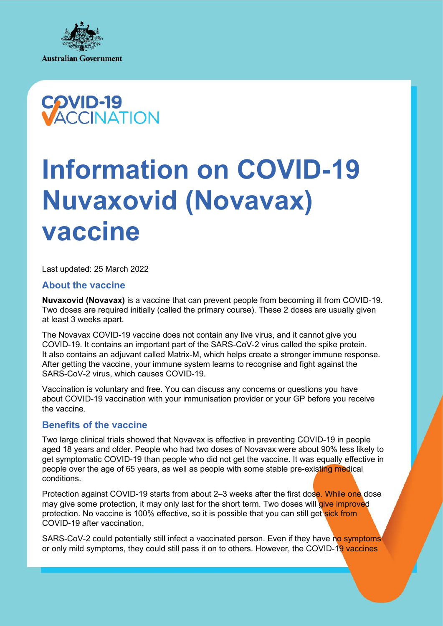



# **Information on COVID-19 Nuvaxovid (Novavax) vaccine**

Last updated: 25 March 2022

# **About the vaccine**

**Nuvaxovid (Novavax)** is a vaccine that can prevent people from becoming ill from COVID-19. Two doses are required initially (called the primary course). These 2 doses are usually given at least 3 weeks apart.

The Novavax COVID-19 vaccine does not contain any live virus, and it cannot give you COVID-19. It contains an important part of the SARS-CoV-2 virus called the spike protein. It also contains an adjuvant called Matrix-M, which helps create a stronger immune response. After getting the vaccine, your immune system learns to recognise and fight against the SARS-CoV-2 virus, which causes COVID-19.

Vaccination is voluntary and free. You can discuss any concerns or questions you have about COVID-19 vaccination with your immunisation provider or your GP before you receive the vaccine.

# **Benefits of the vaccine**

Two large clinical trials showed that Novavax is effective in preventing COVID-19 in people aged 18 years and older. People who had two doses of Novavax were about 90% less likely to get symptomatic COVID-19 than people who did not get the vaccine. It was equally effective in people over the age of 65 years, as well as people with some stable pre-existing medical conditions.

Protection against COVID-19 starts from about 2–3 weeks after the first dose. While one dose may give some protection, it may only last for the short term. Two doses will give improved protection. No vaccine is 100% effective, so it is possible that you can still get sick from COVID-19 after vaccination.

SARS-CoV-2 could potentially still infect a vaccinated person. Even if they have no symptoms or only mild symptoms, they could still pass it on to others. However, the COVID-19 vaccines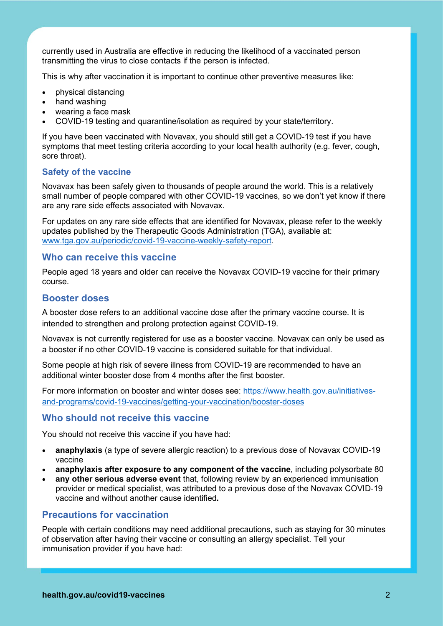currently used in Australia are effective in reducing the likelihood of a vaccinated person transmitting the virus to close contacts if the person is infected.

This is why after vaccination it is important to continue other preventive measures like:

- physical distancing
- hand washing
- wearing a face mask
- COVID-19 testing and quarantine/isolation as required by your state/territory.

If you have been vaccinated with Novavax, you should still get a COVID-19 test if you have symptoms that meet testing criteria according to your local health authority (e.g. fever, cough, sore throat).

#### **Safety of the vaccine**

Novavax has been safely given to thousands of people around the world. This is a relatively small number of people compared with other COVID-19 vaccines, so we don't yet know if there are any rare side effects associated with Novavax.

For updates on any rare side effects that are identified for Novavax, please refer to the weekly updates published by the Therapeutic Goods Administration (TGA), available at: [www.tga.gov.au/periodic/covid-19-vaccine-weekly-safety-report.](https://www.tga.gov.au/periodic/covid-19-vaccine-weekly-safety-report)

#### **Who can receive this vaccine**

People aged 18 years and older can receive the Novavax COVID-19 vaccine for their primary course.

# **Booster doses**

A booster dose refers to an additional vaccine dose after the primary vaccine course. It is intended to strengthen and prolong protection against COVID-19.

Novavax is not currently registered for use as a booster vaccine. Novavax can only be used as a booster if no other COVID-19 vaccine is considered suitable for that individual.

Some people at high risk of severe illness from COVID-19 are recommended to have an additional winter booster dose from 4 months after the first booster.

For more information on booster and winter doses see: [https://www.health.gov.au/initiatives](https://www.health.gov.au/initiatives-and-programs/covid-19-vaccines/getting-your-vaccination/booster-doses)[and-programs/covid-19-vaccines/getting-your-vaccination/booster-doses](https://www.health.gov.au/initiatives-and-programs/covid-19-vaccines/getting-your-vaccination/booster-doses)

#### **Who should not receive this vaccine**

You should not receive this vaccine if you have had:

- **anaphylaxis** (a type of severe allergic reaction) to a previous dose of Novavax COVID-19 vaccine
- **anaphylaxis after exposure to any component of the vaccine**, including polysorbate 80
- **any other serious adverse event** that, following review by an experienced immunisation provider or medical specialist, was attributed to a previous dose of the Novavax COVID-19 vaccine and without another cause identified**.**

# **Precautions for vaccination**

People with certain conditions may need additional precautions, such as staying for 30 minutes of observation after having their vaccine or consulting an allergy specialist. Tell your immunisation provider if you have had: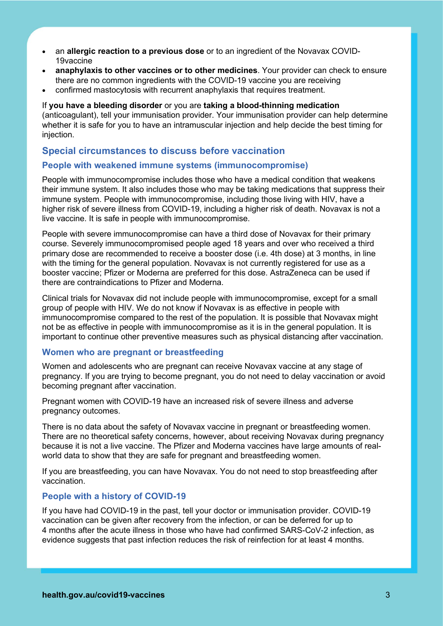- an **allergic reaction to a previous dose** or to an ingredient of the Novavax COVID-19vaccine
- **anaphylaxis to other vaccines or to other medicines**. Your provider can check to ensure there are no common ingredients with the COVID-19 vaccine you are receiving
- confirmed mastocytosis with recurrent anaphylaxis that requires treatment.

If **you have a bleeding disorder** or you are **taking a blood-thinning medication**  (anticoagulant), tell your immunisation provider. Your immunisation provider can help determine whether it is safe for you to have an intramuscular injection and help decide the best timing for injection.

# **Special circumstances to discuss before vaccination**

# **People with weakened immune systems (immunocompromise)**

People with immunocompromise includes those who have a medical condition that weakens their immune system. It also includes those who may be taking medications that suppress their immune system. People with immunocompromise, including those living with HIV, have a higher risk of severe illness from COVID-19, including a higher risk of death. Novavax is not a live vaccine. It is safe in people with immunocompromise.

People with severe immunocompromise can have a third dose of Novavax for their primary course. Severely immunocompromised people aged 18 years and over who received a third primary dose are recommended to receive a booster dose (i.e. 4th dose) at 3 months, in line with the timing for the general population. Novavax is not currently registered for use as a booster vaccine; Pfizer or Moderna are preferred for this dose. AstraZeneca can be used if there are contraindications to Pfizer and Moderna.

Clinical trials for Novavax did not include people with immunocompromise, except for a small group of people with HIV. We do not know if Novavax is as effective in people with immunocompromise compared to the rest of the population. It is possible that Novavax might not be as effective in people with immunocompromise as it is in the general population. It is important to continue other preventive measures such as physical distancing after vaccination.

#### **Women who are pregnant or breastfeeding**

Women and adolescents who are pregnant can receive Novavax vaccine at any stage of pregnancy. If you are trying to become pregnant, you do not need to delay vaccination or avoid becoming pregnant after vaccination.

Pregnant women with COVID-19 have an increased risk of severe illness and adverse pregnancy outcomes.

There is no data about the safety of Novavax vaccine in pregnant or breastfeeding women. There are no theoretical safety concerns, however, about receiving Novavax during pregnancy because it is not a live vaccine. The Pfizer and Moderna vaccines have large amounts of realworld data to show that they are safe for pregnant and breastfeeding women.

If you are breastfeeding, you can have Novavax. You do not need to stop breastfeeding after vaccination.

#### **People with a history of COVID-19**

If you have had COVID-19 in the past, tell your doctor or immunisation provider. COVID-19 vaccination can be given after recovery from the infection, or can be deferred for up to 4 months after the acute illness in those who have had confirmed SARS-CoV-2 infection, as evidence suggests that past infection reduces the risk of reinfection for at least 4 months.